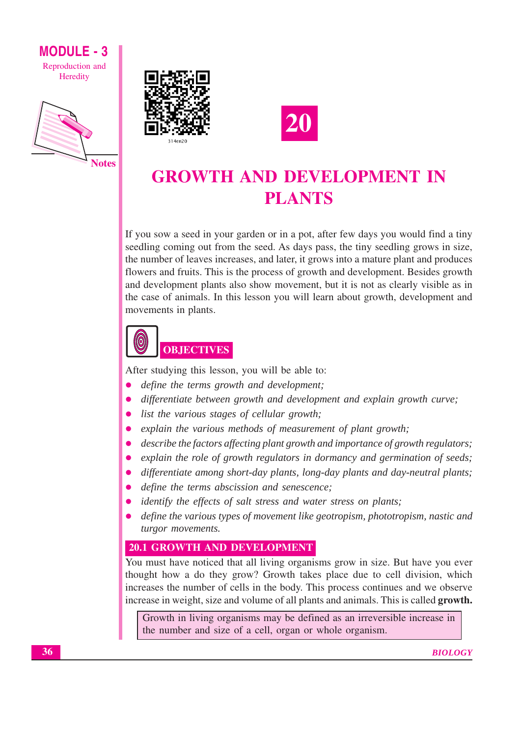# **MODULE - 3** Reproduction and

Heredity







# **GROWTH AND DEVELOPMENT IN PLANTS**

If you sow a seed in your garden or in a pot, after few days you would find a tiny seedling coming out from the seed. As days pass, the tiny seedling grows in size, the number of leaves increases, and later, it grows into a mature plant and produces flowers and fruits. This is the process of growth and development. Besides growth and development plants also show movement, but it is not as clearly visible as in the case of animals. In this lesson you will learn about growth, development and movements in plants.



After studying this lesson, you will be able to:

- define the terms growth and development;
- differentiate between growth and development and explain growth curve;  $\bullet$
- list the various stages of cellular growth;  $\bullet$
- explain the various methods of measurement of plant growth;  $\bullet$
- describe the factors affecting plant growth and importance of growth regulators;  $\bullet$
- explain the role of growth regulators in dormancy and germination of seeds;  $\bullet$
- differentiate among short-day plants, long-day plants and day-neutral plants;  $\bullet$
- define the terms abscission and senescence;
- identify the effects of salt stress and water stress on plants;
- define the various types of movement like geotropism, phototropism, nastic and turgor movements.

# 20.1 GROWTH AND DEVELOPMENT

You must have noticed that all living organisms grow in size. But have you ever thought how a do they grow? Growth takes place due to cell division, which increases the number of cells in the body. This process continues and we observe increase in weight, size and volume of all plants and animals. This is called growth.

Growth in living organisms may be defined as an irreversible increase in the number and size of a cell, organ or whole organism.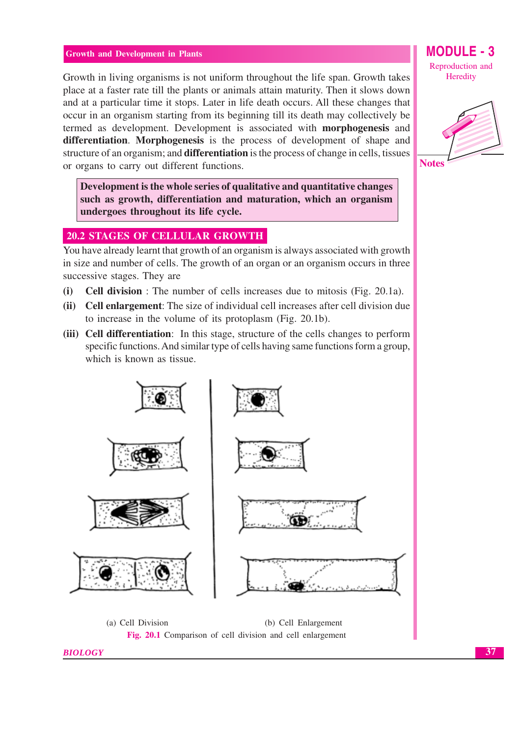Growth in living organisms is not uniform throughout the life span. Growth takes place at a faster rate till the plants or animals attain maturity. Then it slows down and at a particular time it stops. Later in life death occurs. All these changes that occur in an organism starting from its beginning till its death may collectively be termed as development. Development is associated with **morphogenesis** and differentiation. Morphogenesis is the process of development of shape and structure of an organism; and **differentiation** is the process of change in cells, tissues or organs to carry out different functions.

Development is the whole series of qualitative and quantitative changes such as growth, differentiation and maturation, which an organism undergoes throughout its life cycle.

# **20.2 STAGES OF CELLULAR GROWTH**

You have already learnt that growth of an organism is always associated with growth in size and number of cells. The growth of an organ or an organism occurs in three successive stages. They are

- **Cell division**: The number of cells increases due to mitosis (Fig. 20.1a).  $(i)$
- (ii) Cell enlargement: The size of individual cell increases after cell division due to increase in the volume of its protoplasm (Fig. 20.1b).
- (iii) Cell differentiation: In this stage, structure of the cells changes to perform specific functions. And similar type of cells having same functions form a group, which is known as tissue.



Heredity



**Notes**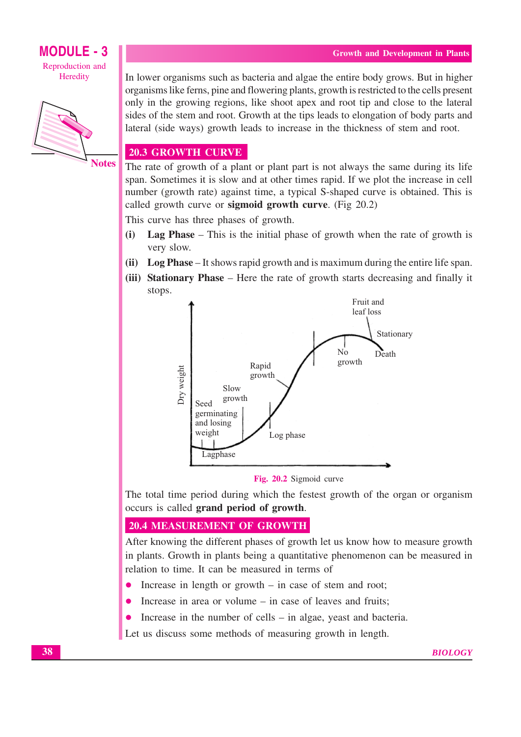

#### **Notes**

In lower organisms such as bacteria and algae the entire body grows. But in higher organisms like ferns, pine and flowering plants, growth is restricted to the cells present only in the growing regions, like shoot apex and root tip and close to the lateral sides of the stem and root. Growth at the tips leads to elongation of body parts and lateral (side ways) growth leads to increase in the thickness of stem and root.

# **20.3 GROWTH CURVE**

The rate of growth of a plant or plant part is not always the same during its life span. Sometimes it is slow and at other times rapid. If we plot the increase in cell number (growth rate) against time, a typical S-shaped curve is obtained. This is called growth curve or **sigmoid growth curve**. (Fig 20.2)

This curve has three phases of growth.

- Lag Phase This is the initial phase of growth when the rate of growth is  $(i)$ very slow.
- (ii) Log Phase It shows rapid growth and is maximum during the entire life span.
- (iii) Stationary Phase Here the rate of growth starts decreasing and finally it stops.



Fig. 20.2 Sigmoid curve

The total time period during which the festest growth of the organ or organism occurs is called grand period of growth.

# **20.4 MEASUREMENT OF GROWTH**

After knowing the different phases of growth let us know how to measure growth in plants. Growth in plants being a quantitative phenomenon can be measured in relation to time. It can be measured in terms of

- Increase in length or growth  $-$  in case of stem and root;
- Increase in area or volume in case of leaves and fruits;
- Increase in the number of cells  $-$  in algae, yeast and bacteria.  $\bullet$

Let us discuss some methods of measuring growth in length.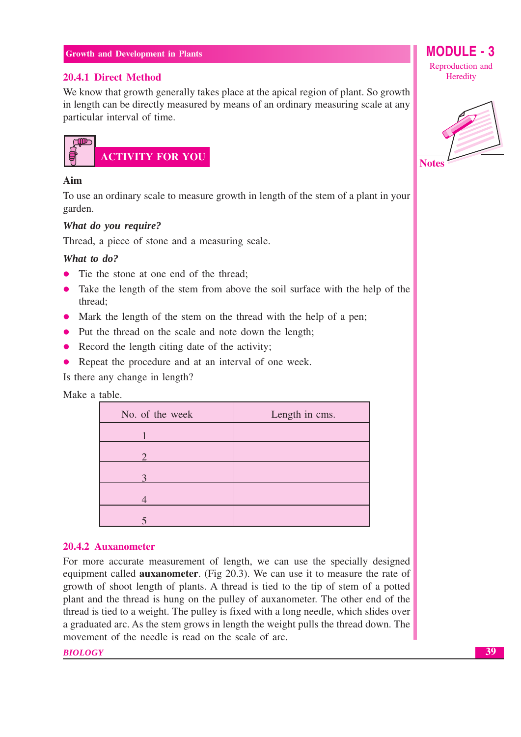# 20.4.1 Direct Method

We know that growth generally takes place at the apical region of plant. So growth in length can be directly measured by means of an ordinary measuring scale at any particular interval of time.



# Aim

To use an ordinary scale to measure growth in length of the stem of a plant in your garden.

# What do you require?

Thread, a piece of stone and a measuring scale.

# What to  $d\rho$ ?

- Tie the stone at one end of the thread:
- Take the length of the stem from above the soil surface with the help of the thread;
- Mark the length of the stem on the thread with the help of a pen;
- Put the thread on the scale and note down the length;
- Record the length citing date of the activity;
- Repeat the procedure and at an interval of one week.

Is there any change in length?

# Make a table.

| No. of the week   | Length in cms. |
|-------------------|----------------|
|                   |                |
| ⌒                 |                |
| $\mathbf{\Omega}$ |                |
|                   |                |
|                   |                |

# 20.4.2 Auxanometer

For more accurate measurement of length, we can use the specially designed equipment called **auxanometer**. (Fig 20.3). We can use it to measure the rate of growth of shoot length of plants. A thread is tied to the tip of stem of a potted plant and the thread is hung on the pulley of auxanometer. The other end of the thread is tied to a weight. The pulley is fixed with a long needle, which slides over a graduated arc. As the stem grows in length the weight pulls the thread down. The movement of the needle is read on the scale of arc.

#### **BIOLOGY**

Reproduction and Heredity

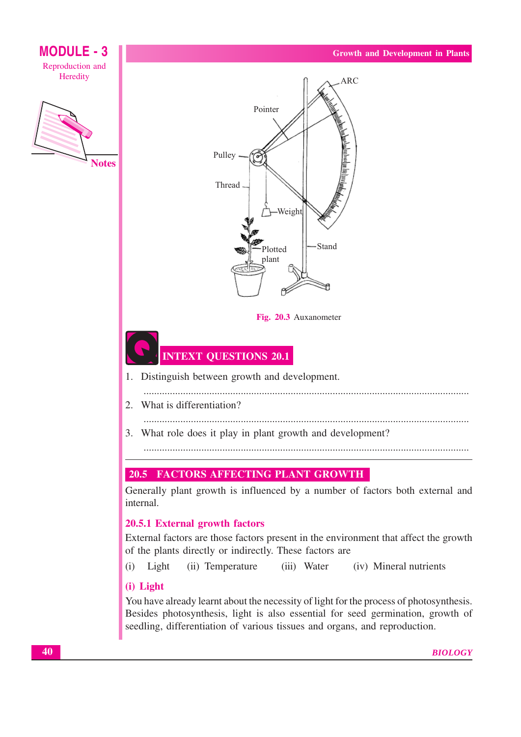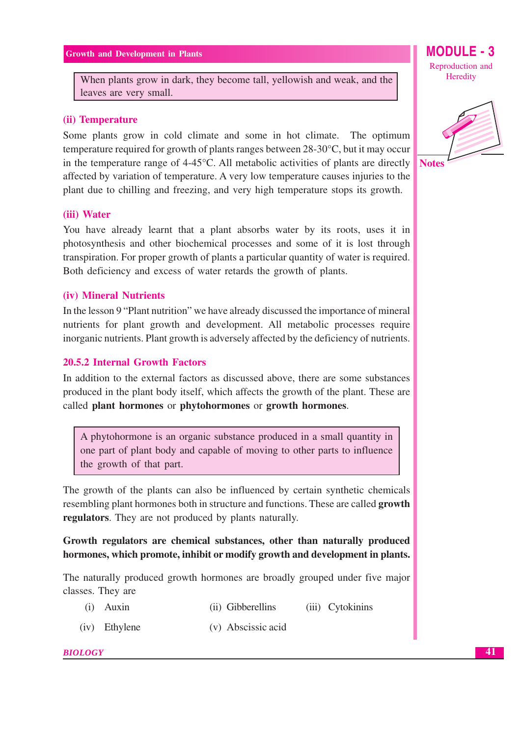When plants grow in dark, they become tall, yellowish and weak, and the leaves are very small.

#### (ii) Temperature

Some plants grow in cold climate and some in hot climate. The optimum temperature required for growth of plants ranges between 28-30 °C, but it may occur in the temperature range of 4-45°C. All metabolic activities of plants are directly affected by variation of temperature. A very low temperature causes injuries to the plant due to chilling and freezing, and very high temperature stops its growth.

#### (iii) Water

You have already learnt that a plant absorbs water by its roots, uses it in photosynthesis and other biochemical processes and some of it is lost through transpiration. For proper growth of plants a particular quantity of water is required. Both deficiency and excess of water retards the growth of plants.

#### (iv) Mineral Nutrients

In the lesson 9 "Plant nutrition" we have already discussed the importance of mineral nutrients for plant growth and development. All metabolic processes require inorganic nutrients. Plant growth is adversely affected by the deficiency of nutrients.

# **20.5.2 Internal Growth Factors**

In addition to the external factors as discussed above, there are some substances produced in the plant body itself, which affects the growth of the plant. These are called plant hormones or phytohormones or growth hormones.

A phytohormone is an organic substance produced in a small quantity in one part of plant body and capable of moving to other parts to influence the growth of that part.

The growth of the plants can also be influenced by certain synthetic chemicals resembling plant hormones both in structure and functions. These are called **growth** regulators. They are not produced by plants naturally.

Growth regulators are chemical substances, other than naturally produced hormones, which promote, inhibit or modify growth and development in plants.

The naturally produced growth hormones are broadly grouped under five major classes. They are

- $(i)$  Auxin (ii) Gibberellins (iii) Cytokinins
- (iv) Ethylene (v) Abscissic acid

#### **BIOLOGY**

Reproduction and Heredity

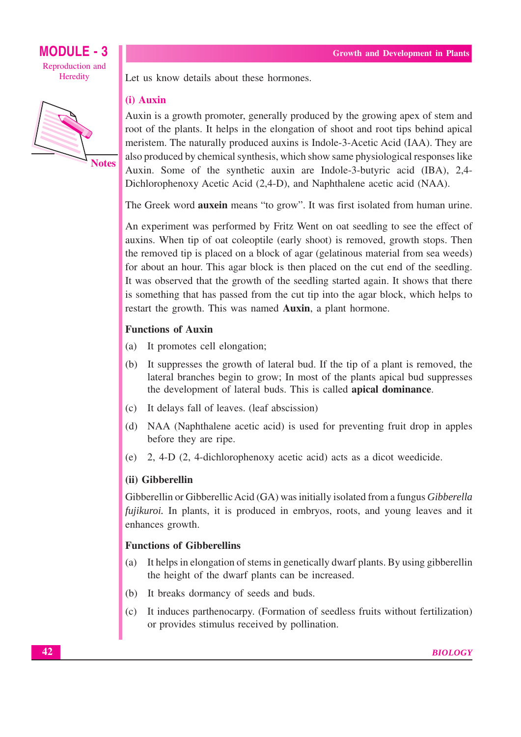

Let us know details about these hormones.

# (i) Auxin

Auxin is a growth promoter, generally produced by the growing apex of stem and root of the plants. It helps in the elongation of shoot and root tips behind apical meristem. The naturally produced auxins is Indole-3-Acetic Acid (IAA). They are also produced by chemical synthesis, which show same physiological responses like Auxin. Some of the synthetic auxin are Indole-3-butyric acid (IBA), 2,4-Dichlorophenoxy Acetic Acid (2,4-D), and Naphthalene acetic acid (NAA).

The Greek word **auxein** means "to grow". It was first isolated from human urine.

An experiment was performed by Fritz Went on oat seedling to see the effect of auxins. When tip of oat coleoptile (early shoot) is removed, growth stops. Then the removed tip is placed on a block of agar (gelatinous material from sea weeds) for about an hour. This agar block is then placed on the cut end of the seedling. It was observed that the growth of the seedling started again. It shows that there is something that has passed from the cut tip into the agar block, which helps to restart the growth. This was named Auxin, a plant hormone.

# **Functions of Auxin**

- $(a)$ It promotes cell elongation;
- (b) It suppresses the growth of lateral bud. If the tip of a plant is removed, the lateral branches begin to grow; In most of the plants apical bud suppresses the development of lateral buds. This is called apical dominance.
- (c) It delays fall of leaves. (leaf abscission)
- (d) NAA (Naphthalene acetic acid) is used for preventing fruit drop in apples before they are ripe.
- (e)  $2, 4-D$  (2, 4-dichlorophenoxy acetic acid) acts as a dicot weedicide.

# (ii) Gibberellin

Gibberellin or Gibberellic Acid (GA) was initially isolated from a fungus Gibberella fujikuroi. In plants, it is produced in embryos, roots, and young leaves and it enhances growth.

# **Functions of Gibberellins**

- It helps in elongation of stems in genetically dwarf plants. By using gibberellin  $(a)$ the height of the dwarf plants can be increased.
- (b) It breaks dormancy of seeds and buds.
- It induces partherocarpy. (Formation of seedless fruits without fertilization)  $(c)$ or provides stimulus received by pollination.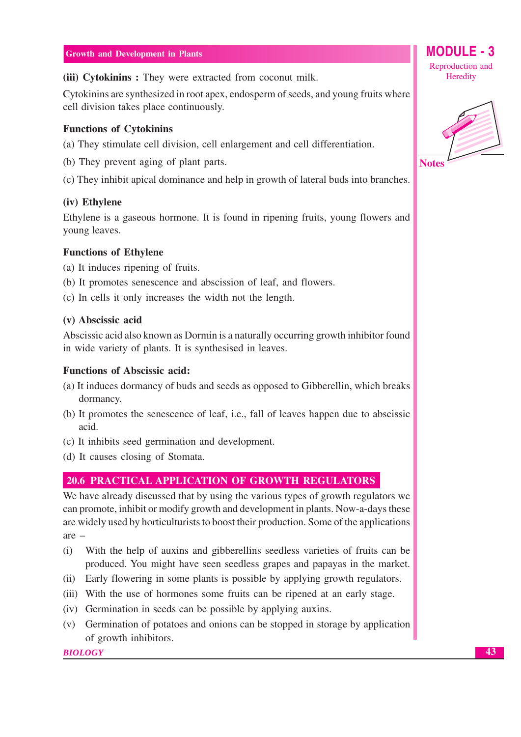(iii) Cytokinins: They were extracted from coconut milk.

Cytokinins are synthesized in root apex, endosperm of seeds, and young fruits where cell division takes place continuously.

#### **Functions of Cytokinins**

(a) They stimulate cell division, cell enlargement and cell differentiation.

- (b) They prevent aging of plant parts.
- (c) They inhibit apical dominance and help in growth of lateral buds into branches.

#### (iv) Ethylene

Ethylene is a gaseous hormone. It is found in ripening fruits, young flowers and voung leaves.

#### **Functions of Ethylene**

(a) It induces ripening of fruits.

- (b) It promotes senescence and abscission of leaf, and flowers.
- (c) In cells it only increases the width not the length.

#### (v) Abscissic acid

Abscissic acid also known as Dormin is a naturally occurring growth inhibitor found in wide variety of plants. It is synthesised in leaves.

#### **Functions of Abscissic acid:**

- (a) It induces dormancy of buds and seeds as opposed to Gibberellin, which breaks dormancy.
- (b) It promotes the senescence of leaf, i.e., fall of leaves happen due to abscissic acid.
- (c) It inhibits seed germination and development.
- (d) It causes closing of Stomata.

# **20.6 PRACTICAL APPLICATION OF GROWTH REGULATORS**

We have already discussed that by using the various types of growth regulators we can promote, inhibit or modify growth and development in plants. Now-a-days these are widely used by horticulturists to boost their production. Some of the applications  $are -$ 

- With the help of auxins and gibberellins seedless varieties of fruits can be  $(i)$ produced. You might have seen seedless grapes and papayas in the market.
- (ii) Early flowering in some plants is possible by applying growth regulators.
- (iii) With the use of hormones some fruits can be ripened at an early stage.
- (iv) Germination in seeds can be possible by applying auxins.
- (v) Germination of potatoes and onions can be stopped in storage by application of growth inhibitors.

**BIOLOGY** 

Reproduction and Heredity

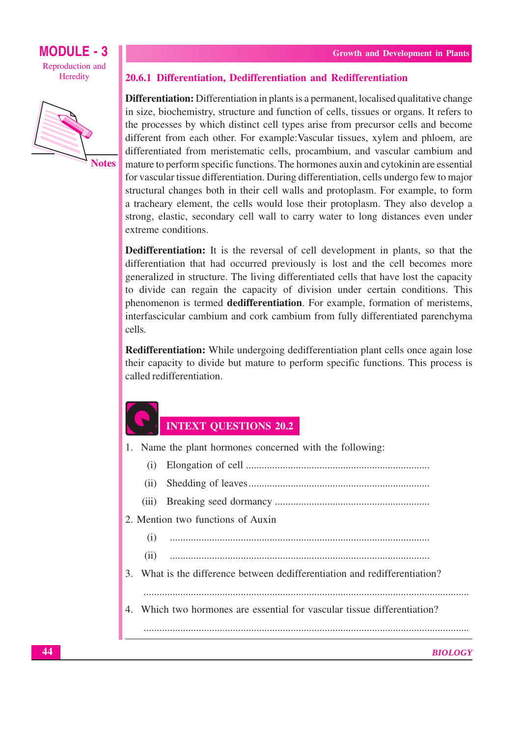



#### 20.6.1 Differentiation, Dedifferentiation and Redifferentiation

**Differentiation:** Differentiation in plants is a permanent, localised qualitative change in size, biochemistry, structure and function of cells, tissues or organs. It refers to the processes by which distinct cell types arise from precursor cells and become different from each other. For example: Vascular tissues, xylem and phloem, are differentiated from meristematic cells, procambium, and vascular cambium and mature to perform specific functions. The hormones auxin and cytokinin are essential for vascular tissue differentiation. During differentiation, cells undergo few to major structural changes both in their cell walls and protoplasm. For example, to form a tracheary element, the cells would lose their protoplasm. They also develop a strong, elastic, secondary cell wall to carry water to long distances even under extreme conditions.

**Dedifferentiation:** It is the reversal of cell development in plants, so that the differentiation that had occurred previously is lost and the cell becomes more generalized in structure. The living differentiated cells that have lost the capacity to divide can regain the capacity of division under certain conditions. This phenomenon is termed **dedifferentiation**. For example, formation of meristems, interfascicular cambium and cork cambium from fully differentiated parenchyma cells.

**Redifferentiation:** While undergoing dedifferentiation plant cells once again lose their capacity to divide but mature to perform specific functions. This process is called redifferentiation.

# **INTEXT QUESTIONS 20.2**

1. Name the plant hormones concerned with the following:  $(i)$ 

- $(ii)$
- $(iii)$
- 2. Mention two functions of Auxin
	- $(i)$
	- $(ii)$
- 3. What is the difference between dedifferentiation and redifferentiation?

4. Which two hormones are essential for vascular tissue differentiation?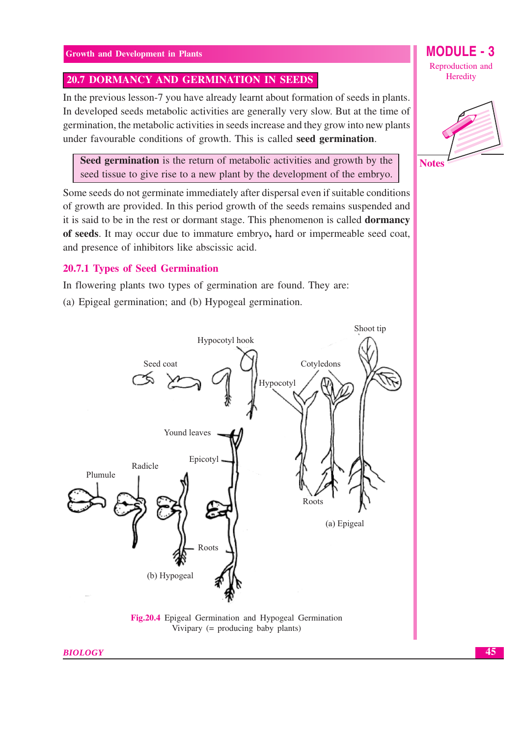# 20.7 DORMANCY AND GERMINATION IN SEEDS

In the previous lesson-7 you have already learnt about formation of seeds in plants. In developed seeds metabolic activities are generally very slow. But at the time of germination, the metabolic activities in seeds increase and they grow into new plants under favourable conditions of growth. This is called seed germination.

Seed germination is the return of metabolic activities and growth by the seed tissue to give rise to a new plant by the development of the embryo.

Some seeds do not germinate immediately after dispersal even if suitable conditions of growth are provided. In this period growth of the seeds remains suspended and it is said to be in the rest or dormant stage. This phenomenon is called **dormancy** of seeds. It may occur due to immature embryo, hard or impermeable seed coat, and presence of inhibitors like abscissic acid.

#### **20.7.1 Types of Seed Germination**

In flowering plants two types of germination are found. They are:

(a) Epigeal germination; and (b) Hypogeal germination.



Fig.20.4 Epigeal Germination and Hypogeal Germination Vivipary  $(=$  producing baby plants)

**BIOLOGY** 

MODULE - 3 Reproduction and Heredity



45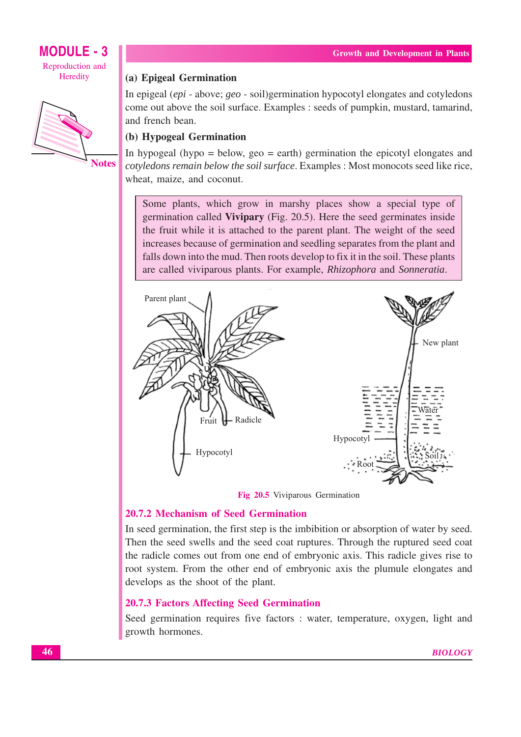

#### (a) Epigeal Germination

In epigeal (epi - above; geo - soil)germination hypocotyl elongates and cotyledons come out above the soil surface. Examples : seeds of pumpkin, mustard, tamarind, and french bean.

# (b) Hypogeal Germination

In hypogeal (hypo = below,  $geo = earth$ ) germination the epicotyl elongates and cotyledons remain below the soil surface. Examples : Most monocots seed like rice, wheat, maize, and coconut.

Some plants, which grow in marshy places show a special type of germination called Vivipary (Fig. 20.5). Here the seed germinates inside the fruit while it is attached to the parent plant. The weight of the seed increases because of germination and seedling separates from the plant and falls down into the mud. Then roots develop to fix it in the soil. These plants are called viviparous plants. For example, *Rhizophora* and *Sonneratia*.



Fig 20.5 Viviparous Germination

#### 20.7.2 Mechanism of Seed Germination

In seed germination, the first step is the imbibition or absorption of water by seed. Then the seed swells and the seed coat ruptures. Through the ruptured seed coat the radicle comes out from one end of embryonic axis. This radicle gives rise to root system. From the other end of embryonic axis the plumule elongates and develops as the shoot of the plant.

#### **20.7.3 Factors Affecting Seed Germination**

Seed germination requires five factors : water, temperature, oxygen, light and growth hormones.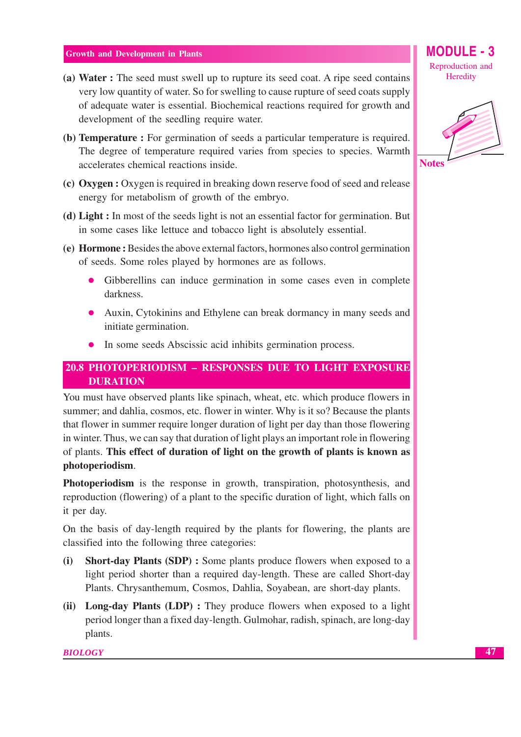- (a) Water : The seed must swell up to rupture its seed coat. A ripe seed contains very low quantity of water. So for swelling to cause rupture of seed coats supply of adequate water is essential. Biochemical reactions required for growth and development of the seedling require water.
- (b) **Temperature**: For germination of seeds a particular temperature is required. The degree of temperature required varies from species to species. Warmth accelerates chemical reactions inside.
- (c) Oxygen : Oxygen is required in breaking down reserve food of seed and release energy for metabolism of growth of the embryo.
- (d) Light : In most of the seeds light is not an essential factor for germination. But in some cases like lettuce and tobacco light is absolutely essential.
- (e) Hormone: Besides the above external factors, hormones also control germination of seeds. Some roles played by hormones are as follows.
	- Gibberellins can induce germination in some cases even in complete  $\bullet$ darkness.
	- Auxin, Cytokinins and Ethylene can break dormancy in many seeds and initiate germination.
	- In some seeds Abscissic acid inhibits germination process.  $\bullet$

# 20.8 PHOTOPERIODISM - RESPONSES DUE TO LIGHT EXPOSURE **DURATION**

You must have observed plants like spinach, wheat, etc. which produce flowers in summer; and dahlia, cosmos, etc. flower in winter. Why is it so? Because the plants that flower in summer require longer duration of light per day than those flowering in winter. Thus, we can say that duration of light plays an important role in flowering of plants. This effect of duration of light on the growth of plants is known as photoperiodism.

**Photoperiodism** is the response in growth, transpiration, photosynthesis, and reproduction (flowering) of a plant to the specific duration of light, which falls on it per day.

On the basis of day-length required by the plants for flowering, the plants are classified into the following three categories:

- **Short-day Plants (SDP) :** Some plants produce flowers when exposed to a (i) light period shorter than a required day-length. These are called Short-day Plants. Chrysanthemum, Cosmos, Dahlia, Soyabean, are short-day plants.
- (ii) Long-day Plants (LDP): They produce flowers when exposed to a light period longer than a fixed day-length. Gulmohar, radish, spinach, are long-day plants.

#### **BIOLOGY**

Reproduction and Heredity

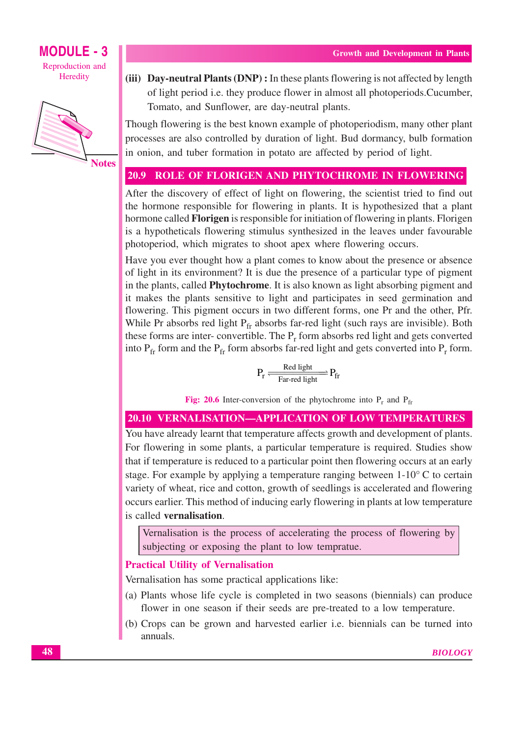

**Notes** 

(iii) Day-neutral Plants (DNP): In these plants flowering is not affected by length of light period i.e. they produce flower in almost all photoperiods. Cucumber, Tomato, and Sunflower, are day-neutral plants.

Though flowering is the best known example of photoperiodism, many other plant processes are also controlled by duration of light. Bud dormancy, bulb formation in onion, and tuber formation in potato are affected by period of light.

#### $20.9$ ROLE OF FLORIGEN AND PHYTOCHROME IN FLOWERING

After the discovery of effect of light on flowering, the scientist tried to find out the hormone responsible for flowering in plants. It is hypothesized that a plant hormone called **Florigen** is responsible for initiation of flowering in plants. Florigen is a hypotheticals flowering stimulus synthesized in the leaves under favourable photoperiod, which migrates to shoot apex where flowering occurs.

Have you ever thought how a plant comes to know about the presence or absence of light in its environment? It is due the presence of a particular type of pigment in the plants, called **Phytochrome**. It is also known as light absorbing pigment and it makes the plants sensitive to light and participates in seed germination and flowering. This pigment occurs in two different forms, one Pr and the other, Pfr. While Pr absorbs red light  $P_{fr}$  absorbs far-red light (such rays are invisible). Both these forms are inter-convertible. The  $P_r$  form absorbs red light and gets converted into  $P_{fr}$  form and the  $P_{fr}$  form absorbs far-red light and gets converted into  $P_r$  form.

$$
P_r \xrightarrow[\text{Far-red light}]{Red light}]{} P_{fr}
$$

Fig: 20.6 Inter-conversion of the phytochrome into  $P_r$  and  $P_{fr}$ 

# **20.10 VERNALISATION-APPLICATION OF LOW TEMPERATURES**

You have already learnt that temperature affects growth and development of plants. For flowering in some plants, a particular temperature is required. Studies show that if temperature is reduced to a particular point then flowering occurs at an early stage. For example by applying a temperature ranging between  $1-10^{\circ}$  C to certain variety of wheat, rice and cotton, growth of seedlings is accelerated and flowering occurs earlier. This method of inducing early flowering in plants at low temperature is called vernalisation.

Vernalisation is the process of accelerating the process of flowering by subjecting or exposing the plant to low tempratue.

#### **Practical Utility of Vernalisation**

Vernalisation has some practical applications like:

- (a) Plants whose life cycle is completed in two seasons (biennials) can produce flower in one season if their seeds are pre-treated to a low temperature.
- (b) Crops can be grown and harvested earlier *i.e.* biennials can be turned into annuals.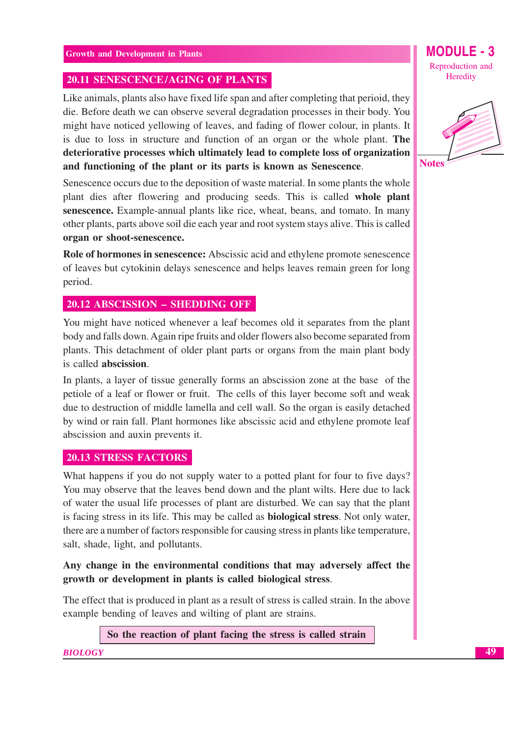# **20.11 SENESCENCE/AGING OF PLANTS**

Like animals, plants also have fixed life span and after completing that perioid, they die. Before death we can observe several degradation processes in their body. You might have noticed yellowing of leaves, and fading of flower colour, in plants. It is due to loss in structure and function of an organ or the whole plant. The deteriorative processes which ultimately lead to complete loss of organization and functioning of the plant or its parts is known as Senescence.

Senescence occurs due to the deposition of waste material. In some plants the whole plant dies after flowering and producing seeds. This is called whole plant senescence. Example-annual plants like rice, wheat, beans, and tomato. In many other plants, parts above soil die each year and root system stays alive. This is called organ or shoot-senescence.

Role of hormones in senescence: Abscissic acid and ethylene promote senescence of leaves but cytokinin delays senescence and helps leaves remain green for long period.

# 20.12 ABSCISSION - SHEDDING OFF

You might have noticed whenever a leaf becomes old it separates from the plant body and falls down. Again ripe fruits and older flowers also become separated from plants. This detachment of older plant parts or organs from the main plant body is called abscission.

In plants, a layer of tissue generally forms an abscission zone at the base of the petiole of a leaf or flower or fruit. The cells of this layer become soft and weak due to destruction of middle lamella and cell wall. So the organ is easily detached by wind or rain fall. Plant hormones like abscissic acid and ethylene promote leaf abscission and auxin prevents it.

# **20.13 STRESS FACTORS**

What happens if you do not supply water to a potted plant for four to five days? You may observe that the leaves bend down and the plant wilts. Here due to lack of water the usual life processes of plant are disturbed. We can say that the plant is facing stress in its life. This may be called as **biological stress**. Not only water, there are a number of factors responsible for causing stress in plants like temperature, salt, shade, light, and pollutants.

# Any change in the environmental conditions that may adversely affect the growth or development in plants is called biological stress.

The effect that is produced in plant as a result of stress is called strain. In the above example bending of leaves and wilting of plant are strains.

So the reaction of plant facing the stress is called strain

**BIOLOGY** 

MODULE - 3 Reproduction and Heredity

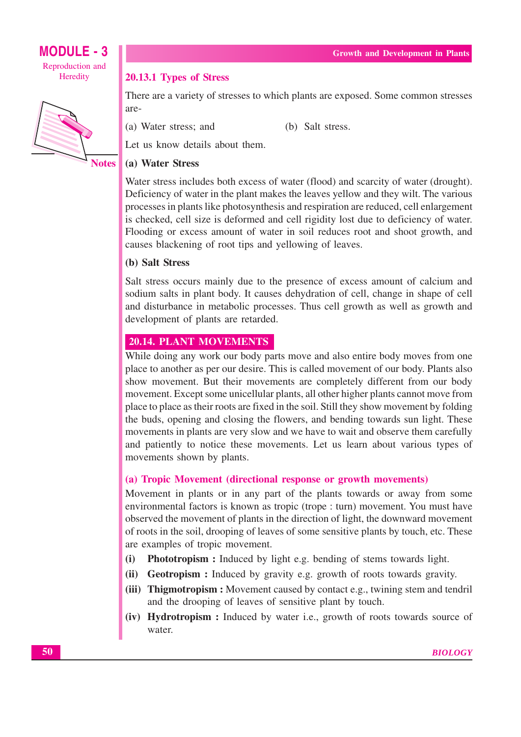

#### 20.13.1 Types of Stress

There are a variety of stresses to which plants are exposed. Some common stresses are-

(a) Water stress; and

(b) Salt stress.

Let us know details about them.

# (a) Water Stress

Water stress includes both excess of water (flood) and scarcity of water (drought). Deficiency of water in the plant makes the leaves yellow and they wilt. The various processes in plants like photosynthesis and respiration are reduced, cell enlargement is checked, cell size is deformed and cell rigidity lost due to deficiency of water. Flooding or excess amount of water in soil reduces root and shoot growth, and causes blackening of root tips and vellowing of leaves.

# (b) Salt Stress

Salt stress occurs mainly due to the presence of excess amount of calcium and sodium salts in plant body. It causes dehydration of cell, change in shape of cell and disturbance in metabolic processes. Thus cell growth as well as growth and development of plants are retarded.

# **20.14. PLANT MOVEMENTS**

While doing any work our body parts move and also entire body moves from one place to another as per our desire. This is called movement of our body. Plants also show movement. But their movements are completely different from our body movement. Except some unicellular plants, all other higher plants cannot move from place to place as their roots are fixed in the soil. Still they show movement by folding the buds, opening and closing the flowers, and bending towards sun light. These movements in plants are very slow and we have to wait and observe them carefully and patiently to notice these movements. Let us learn about various types of movements shown by plants.

# (a) Tropic Movement (directional response or growth movements)

Movement in plants or in any part of the plants towards or away from some environmental factors is known as tropic (trope : turn) movement. You must have observed the movement of plants in the direction of light, the downward movement of roots in the soil, drooping of leaves of some sensitive plants by touch, etc. These are examples of tropic movement.

- Phototropism : Induced by light e.g. bending of stems towards light.  $(i)$
- (ii) Geotropism: Induced by gravity e.g. growth of roots towards gravity.
- (iii) Thigmotropism: Movement caused by contact e.g., twining stem and tendril and the drooping of leaves of sensitive plant by touch.
- (iv) Hydrotropism: Induced by water i.e., growth of roots towards source of water.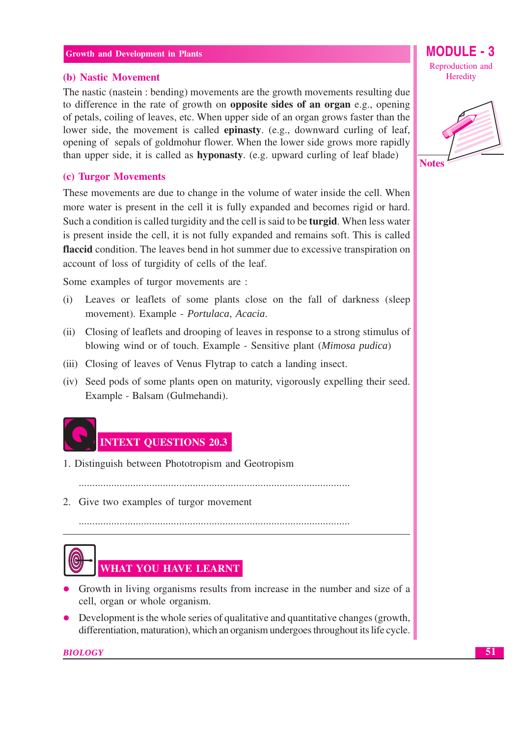#### (b) Nastic Movement

The nastic (nastein : bending) movements are the growth movements resulting due to difference in the rate of growth on **opposite sides of an organ** e.g., opening of petals, coiling of leaves, etc. When upper side of an organ grows faster than the lower side, the movement is called **epinasty**. (e.g., downward curling of leaf, opening of sepals of goldmohur flower. When the lower side grows more rapidly than upper side, it is called as **hyponasty**. (e.g. upward curling of leaf blade)

#### (c) Turgor Movements

These movements are due to change in the volume of water inside the cell. When more water is present in the cell it is fully expanded and becomes rigid or hard. Such a condition is called turgidity and the cell is said to be **turgid**. When less water is present inside the cell, it is not fully expanded and remains soft. This is called flaccid condition. The leaves bend in hot summer due to excessive transpiration on account of loss of turgidity of cells of the leaf.

Some examples of turgor movements are :

- Leaves or leaflets of some plants close on the fall of darkness (sleep  $(i)$ movement). Example - Portulaca, Acacia.
- (ii) Closing of leaflets and drooping of leaves in response to a strong stimulus of blowing wind or of touch. Example - Sensitive plant (Mimosa pudica)
- (iii) Closing of leaves of Venus Flytrap to catch a landing insect.
- (iv) Seed pods of some plants open on maturity, vigorously expelling their seed. Example - Balsam (Gulmehandi).



- 1. Distinguish between Phototropism and Geotropism
	-

2. Give two examples of turgor movement



- Growth in living organisms results from increase in the number and size of a cell, organ or whole organism.
- Development is the whole series of qualitative and quantitative changes (growth, differentiation, maturation), which an organism undergoes throughout its life cycle.

**BIOLOGY** 

**MODULE - 3** Reproduction and Heredity

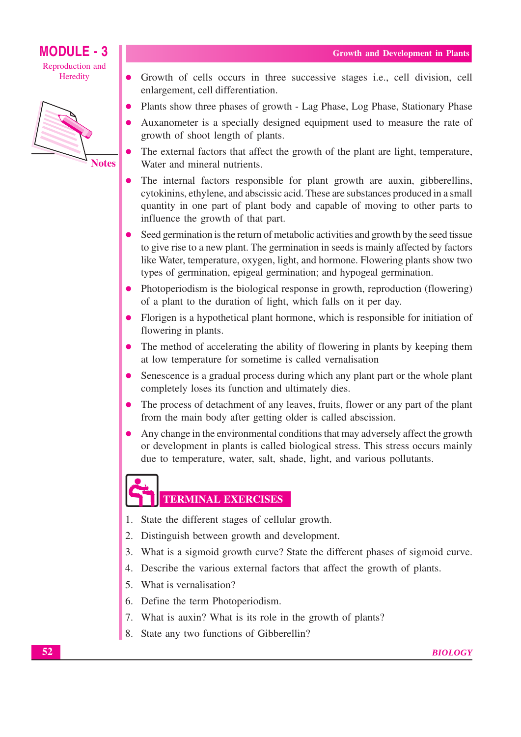# **MODULE - 3** Reproduction and

Heredity



- Growth of cells occurs in three successive stages *i.e.*, cell division, cell enlargement, cell differentiation.
- Plants show three phases of growth Lag Phase, Log Phase, Stationary Phase
- Auxanometer is a specially designed equipment used to measure the rate of growth of shoot length of plants.
- The external factors that affect the growth of the plant are light, temperature, Water and mineral nutrients.
- The internal factors responsible for plant growth are auxin, gibberellins, cytokinins, ethylene, and abscissic acid. These are substances produced in a small quantity in one part of plant body and capable of moving to other parts to influence the growth of that part.
- Seed germination is the return of metabolic activities and growth by the seed tissue to give rise to a new plant. The germination in seeds is mainly affected by factors like Water, temperature, oxygen, light, and hormone. Flowering plants show two types of germination, epigeal germination; and hypogeal germination.
- Photoperiodism is the biological response in growth, reproduction (flowering) of a plant to the duration of light, which falls on it per day.
- Florigen is a hypothetical plant hormone, which is responsible for initiation of flowering in plants.
- The method of accelerating the ability of flowering in plants by keeping them  $\bullet$ at low temperature for sometime is called vernalisation
- Senescence is a gradual process during which any plant part or the whole plant  $\bullet$ completely loses its function and ultimately dies.
- The process of detachment of any leaves, fruits, flower or any part of the plant  $\bullet$ from the main body after getting older is called abscission.
- Any change in the environmental conditions that may adversely affect the growth or development in plants is called biological stress. This stress occurs mainly due to temperature, water, salt, shade, light, and various pollutants.

- **TERMINAL EXERCISES**
- 1. State the different stages of cellular growth.
- 2. Distinguish between growth and development.
- 3. What is a sigmoid growth curve? State the different phases of sigmoid curve.
- 4. Describe the various external factors that affect the growth of plants.
- 5. What is vernalisation?
- 6. Define the term Photoperiodism.
- 7. What is auxin? What is its role in the growth of plants?
- 8. State any two functions of Gibberellin?